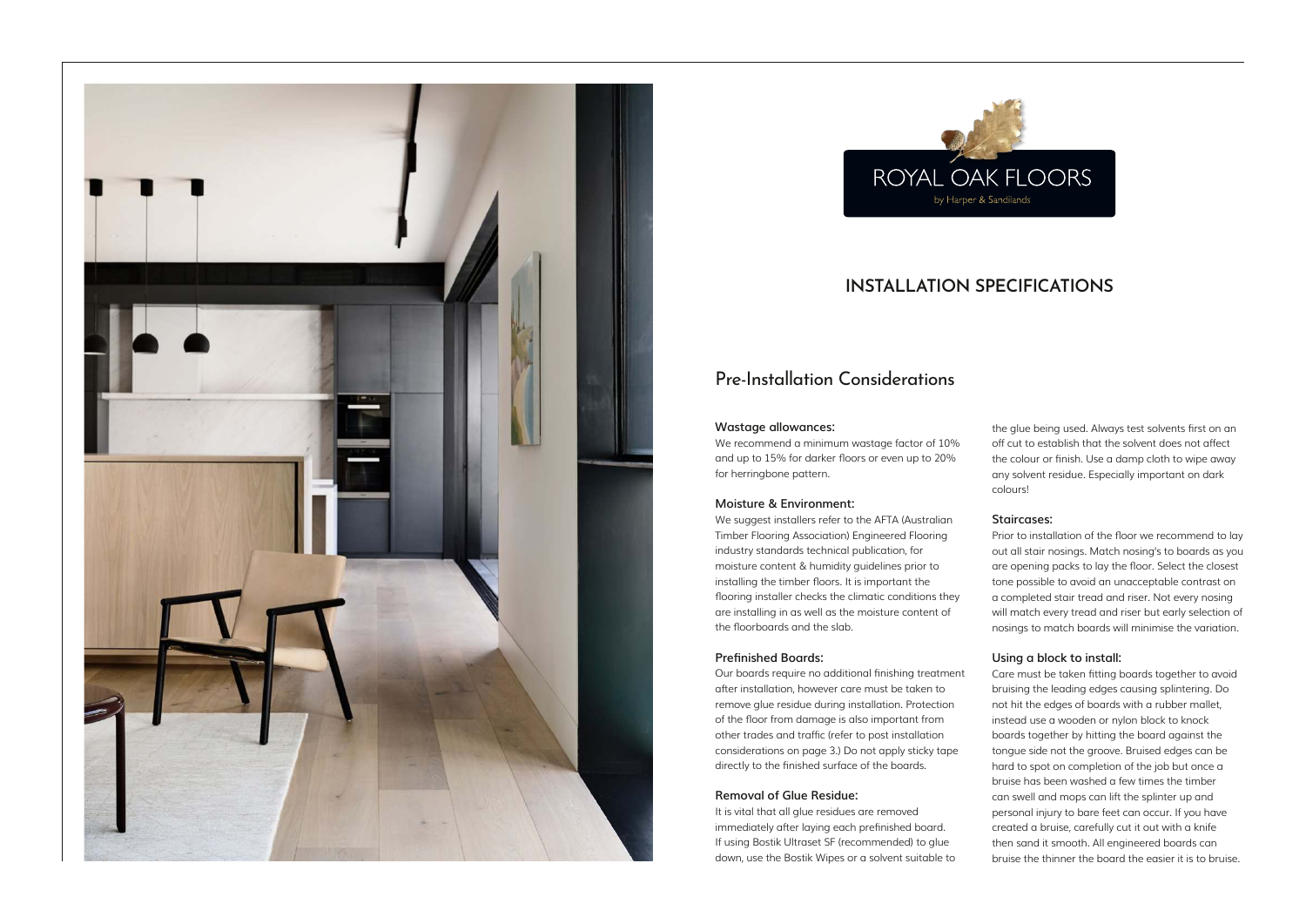# Pre-Installation Considerations

## **Wastage allowances:**

We recommend a minimum wastage factor of 10% and up to 15% for darker floors or even up to 20% for herringbone pattern.

## **Moisture & Environment:**

We suggest installers refer to the AFTA (Australian Timber Flooring Association) Engineered Flooring industry standards technical publication, for moisture content & humidity guidelines prior to installing the timber floors. It is important the flooring installer checks the climatic conditions they are installing in as well as the moisture content of the floorboards and the slab.

## **Prefinished Boards:**

Our boards require no additional finishing treatment after installation, however care must be taken to remove glue residue during installation. Protection of the floor from damage is also important from other trades and traffic (refer to post installation considerations on page 3.) Do not apply sticky tape directly to the finished surface of the boards.

## **Removal of Glue Residue:**

It is vital that all glue residues are removed immediately after laying each prefinished board. If using Bostik Ultraset SF (recommended) to glue down, use the Bostik Wipes or a solvent suitable to the glue being used. Always test solvents first on an off cut to establish that the solvent does not affect the colour or finish. Use a damp cloth to wipe away any solvent residue. Especially important on dark colours!

## **Staircases:**

Prior to installation of the floor we recommend to lay out all stair nosings. Match nosing's to boards as you are opening packs to lay the floor. Select the closest tone possible to avoid an unacceptable contrast on a completed stair tread and riser. Not every nosing will match every tread and riser but early selection of nosings to match boards will minimise the variation.

# **Using a block to install:**

Care must be taken fitting boards together to avoid bruising the leading edges causing splintering. Do not hit the edges of boards with a rubber mallet, instead use a wooden or nylon block to knock boards together by hitting the board against the tongue side not the groove. Bruised edges can be hard to spot on completion of the job but once a bruise has been washed a few times the timber can swell and mops can lift the splinter up and personal injury to bare feet can occur. If you have created a bruise, carefully cut it out with a knife then sand it smooth. All engineered boards can bruise the thinner the board the easier it is to bruise.





# **INSTALLATION SPECIFICATIONS**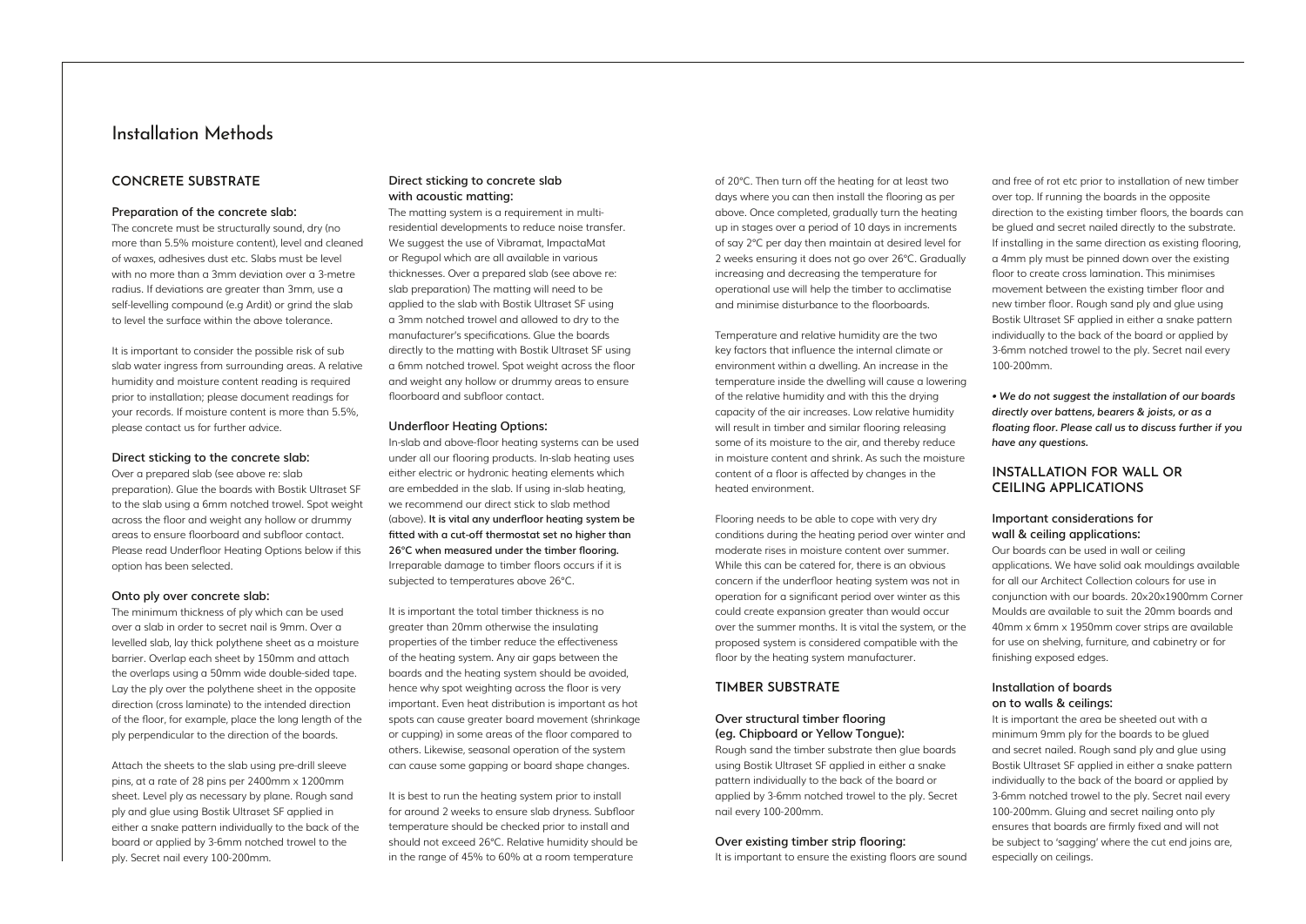# Installation Methods

# **CONCRETE SUBSTRATE**

#### **Preparation of the concrete slab:**

The concrete must be structurally sound, dry (no more than 5.5% moisture content), level and cleaned of waxes, adhesives dust etc. Slabs must be level with no more than a 3mm deviation over a 3-metre radius. If deviations are greater than 3mm, use a self-levelling compound (e.g Ardit) or grind the slab to level the surface within the above tolerance.

It is important to consider the possible risk of sub slab water ingress from surrounding areas. A relative humidity and moisture content reading is required prior to installation; please document readings for your records. If moisture content is more than 5.5%, please contact us for further advice.

#### **Direct sticking to the concrete slab:**

Over a prepared slab (see above re: slab preparation). Glue the boards with Bostik Ultraset SF to the slab using a 6mm notched trowel. Spot weight across the floor and weight any hollow or drummy areas to ensure floorboard and subfloor contact. Please read Underfloor Heating Options below if this option has been selected.

#### **Onto ply over concrete slab:**

The minimum thickness of ply which can be used over a slab in order to secret nail is 9mm. Over a levelled slab, lay thick polythene sheet as a moisture barrier. Overlap each sheet by 150mm and attach the overlaps using a 50mm wide double-sided tape. Lay the ply over the polythene sheet in the opposite direction (cross laminate) to the intended direction of the floor, for example, place the long length of the ply perpendicular to the direction of the boards.

Attach the sheets to the slab using pre-drill sleeve pins, at a rate of 28 pins per 2400mm x 1200mm sheet. Level ply as necessary by plane. Rough sand ply and glue using Bostik Ultraset SF applied in either a snake pattern individually to the back of the board or applied by 3-6mm notched trowel to the ply. Secret nail every 100-200mm.

## **Direct sticking to concrete slab with acoustic matting:**

It is best to run the heating system prior to install for around 2 weeks to ensure slab dryness. Subfloor temperature should be checked prior to install and should not exceed 26°C. Relative humidity should be in the range of 45% to 60% at a room temperature

The matting system is a requirement in multiresidential developments to reduce noise transfer. We suggest the use of Vibramat, ImpactaMat or Regupol which are all available in various thicknesses. Over a prepared slab (see above re: slab preparation) The matting will need to be applied to the slab with Bostik Ultraset SF using a 3mm notched trowel and allowed to dry to the manufacturer's specifications. Glue the boards directly to the matting with Bostik Ultraset SF using a 6mm notched trowel. Spot weight across the floor and weight any hollow or drummy areas to ensure floorboard and subfloor contact.

#### **Underfloor Heating Options:**

In-slab and above-floor heating systems can be used under all our flooring products. In-slab heating uses either electric or hydronic heating elements which are embedded in the slab. If using in-slab heating, we recommend our direct stick to slab method (above). **It is vital any underfloor heating system be fitted with a cut-off thermostat set no higher than 26°C when measured under the timber flooring.** Irreparable damage to timber floors occurs if it is subjected to temperatures above 26°C.

It is important the total timber thickness is no greater than 20mm otherwise the insulating properties of the timber reduce the effectiveness of the heating system. Any air gaps between the boards and the heating system should be avoided, hence why spot weighting across the floor is very important. Even heat distribution is important as hot spots can cause greater board movement (shrinkage or cupping) in some areas of the floor compared to others. Likewise, seasonal operation of the system can cause some gapping or board shape changes.

of 20°C. Then turn off the heating for at least two days where you can then install the flooring as per above. Once completed, gradually turn the heating up in stages over a period of 10 days in increments of say 2°C per day then maintain at desired level for 2 weeks ensuring it does not go over 26°C. Gradually increasing and decreasing the temperature for operational use will help the timber to acclimatise and minimise disturbance to the floorboards.

Temperature and relative humidity are the two key factors that influence the internal climate or environment within a dwelling. An increase in the temperature inside the dwelling will cause a lowering of the relative humidity and with this the drying capacity of the air increases. Low relative humidity will result in timber and similar flooring releasing some of its moisture to the air, and thereby reduce in moisture content and shrink. As such the moisture content of a floor is affected by changes in the heated environment.

Flooring needs to be able to cope with very dry conditions during the heating period over winter and moderate rises in moisture content over summer. While this can be catered for, there is an obvious concern if the underfloor heating system was not in operation for a significant period over winter as this could create expansion greater than would occur over the summer months. It is vital the system, or the proposed system is considered compatible with the floor by the heating system manufacturer.

# **TIMBER SUBSTRATE**

# **Over structural timber flooring (eg. Chipboard or Yellow Tongue):**

Rough sand the timber substrate then glue boards using Bostik Ultraset SF applied in either a snake pattern individually to the back of the board or applied by 3-6mm notched trowel to the ply. Secret nail every 100-200mm.

#### **Over existing timber strip flooring:**

It is important to ensure the existing floors are sound

and free of rot etc prior to installation of new timber over top. If running the boards in the opposite direction to the existing timber floors, the boards can be glued and secret nailed directly to the substrate. If installing in the same direction as existing flooring, a 4mm ply must be pinned down over the existing floor to create cross lamination. This minimises movement between the existing timber floor and new timber floor. Rough sand ply and glue using Bostik Ultraset SF applied in either a snake pattern individually to the back of the board or applied by 3-6mm notched trowel to the ply. Secret nail every 100-200mm.

*• We do not suggest the installation of our boards directly over battens, bearers & joists, or as a floating floor. Please call us to discuss further if you have any questions.* 

# **INSTALLATION FOR WALL OR CEILING APPLICATIONS**

# **Important considerations for wall & ceiling applications:**

Our boards can be used in wall or ceiling applications. We have solid oak mouldings available for all our Architect Collection colours for use in conjunction with our boards. 20x20x1900mm Corner Moulds are available to suit the 20mm boards and 40mm x 6mm x 1950mm cover strips are available for use on shelving, furniture, and cabinetry or for finishing exposed edges.

# **Installation of boards on to walls & ceilings:**

It is important the area be sheeted out with a minimum 9mm ply for the boards to be glued and secret nailed. Rough sand ply and glue using Bostik Ultraset SF applied in either a snake pattern individually to the back of the board or applied by 3-6mm notched trowel to the ply. Secret nail every 100-200mm. Gluing and secret nailing onto ply ensures that boards are firmly fixed and will not be subject to 'sagging' where the cut end joins are, especially on ceilings.